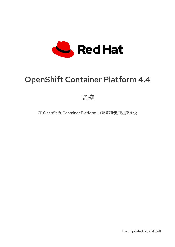

# OpenShift Container Platform 4.4

监控

在 OpenShift Container Platform 中配置和使用监控堆栈

Last Updated: 2021-03-11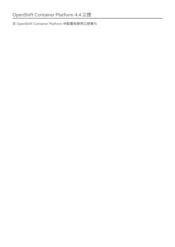在 OpenShift Container Platform 中配置和使用监控堆栈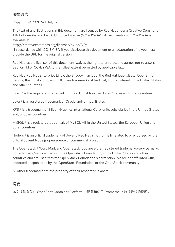## 法律通告

Copyright © 2021 Red Hat, Inc.

The text of and illustrations in this document are licensed by Red Hat under a Creative Commons Attribution–Share Alike 3.0 Unported license ("CC-BY-SA"). An explanation of CC-BY-SA is available at

http://creativecommons.org/licenses/by-sa/3.0/

. In accordance with CC-BY-SA, if you distribute this document or an adaptation of it, you must provide the URL for the original version.

Red Hat, as the licensor of this document, waives the right to enforce, and agrees not to assert, Section 4d of CC-BY-SA to the fullest extent permitted by applicable law.

Red Hat, Red Hat Enterprise Linux, the Shadowman logo, the Red Hat logo, JBoss, OpenShift, Fedora, the Infinity logo, and RHCE are trademarks of Red Hat, Inc., registered in the United States and other countries.

Linux ® is the registered trademark of Linus Torvalds in the United States and other countries.

Java ® is a registered trademark of Oracle and/or its affiliates.

XFS ® is a trademark of Silicon Graphics International Corp. or its subsidiaries in the United States and/or other countries.

MySQL<sup>®</sup> is a registered trademark of MySQL AB in the United States, the European Union and other countries.

Node.js ® is an official trademark of Joyent. Red Hat is not formally related to or endorsed by the official Joyent Node.js open source or commercial project.

The OpenStack ® Word Mark and OpenStack logo are either registered trademarks/service marks or trademarks/service marks of the OpenStack Foundation, in the United States and other countries and are used with the OpenStack Foundation's permission. We are not affiliated with, endorsed or sponsored by the OpenStack Foundation, or the OpenStack community.

All other trademarks are the property of their respective owners.

## 摘要

本文提供有关在 OpenShift Container Platform 中配置和使用 Prometheus 监控堆栈的说明。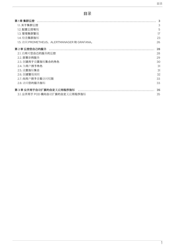## 目录

| 第1章 集群监控                                   |    |
|--------------------------------------------|----|
| 1.1. 关于集群监控                                | 3  |
| 1.2. 配置监控堆栈                                | 5  |
| 1.3. 管理集群警报                                | 17 |
| 1.4. 检查集群指标                                | 23 |
| 1.5. 访问 PROMETHEUS、ALERTMANAGER 和 GRAFANA。 | 26 |
| 第 2 章 监控您自己的服务                             | 28 |
| 2.1. 启用对您自己的服务的监控                          | 28 |
| 2.2. 部署示例服务                                | 29 |
| 2.3. 创建用于设置指标集合的角色                         | 30 |
| 2.4. 为用户授予角色                               | 31 |
| 2.5. 设置指标集合                                | 31 |
| 2.6. 创建警报规则                                | 32 |
| 2.7. 向用户授予查看访问权限                           | 33 |
| 2.8. 访问您的服务指标                              | 33 |
| 第3章 公开用于自动扩展的自定义应用程序指标                     | 35 |
| 3.1. 公开用于 POD 横向自动扩展的自定义应用程序指标             | 35 |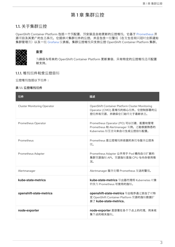## 第1章 集群监控

## <span id="page-6-1"></span><span id="page-6-0"></span>1.1. 关于集群监控

OpenShift Container Platform 包括一个预配置、预安装且自助更新的监控堆栈,它基于 [Prometheus](https://prometheus.io/) 开 源项目及其更广的生态系统。它提供对集群组件的监控,并且包含一组警报(在发生任何问题时立即通知 集群管理员)以及一组 [Grafana](https://grafana.com/) 仪表板。集群监控堆栈只支持监控 OpenShift Container Platform 集群。



#### 重要

为确保与将来的 OpenShift Container Platform 更新兼容, 只有特定的监控堆栈选项配置 被支持。

1.1.1. 堆栈组件和受监控目标

监控堆栈包括以下组件:

表 1.1. 监控堆栈组件

| 组件                                 | 描述                                                                                                          |
|------------------------------------|-------------------------------------------------------------------------------------------------------------|
| <b>Cluster Monitoring Operator</b> | OpenShift Container Platform Cluster Monitoring<br>Operator (CMO) 是堆栈的核心组件。它控制部署的监<br>控组件和资源,并确保它们始终处于最新状态。 |
| Prometheus Operator                | Prometheus Operator (PO) 可以创建、配置和管理<br>Prometheus 和 Alertmanager 实例。还能根据熟悉的<br>Kubernetes 标签查询来自动生成监控目标配置。  |
| Prometheus                         | Prometheus 是监控堆栈所依据的系统与服务监控系<br>统。                                                                          |
| Prometheus Adapter                 | Prometheus Adapter 公开用于 Pod 横向自动扩展的<br>集群资源指标 API。资源指标是指 CPU 与内存使用情<br>况。                                   |
| Alertmanager                       | Alertmanager 服务处理 Prometheus 发送的警报。                                                                         |
| kube-state-metrics                 | kube-state-metrics 导出器代理将 Kubernetes 对象<br>转换为 Prometheus 可使用的指标。                                           |
| openshift-state-metrics            | openshift-state-metrics 导出程序通过添加了对特<br>定 OpenShift Container Platform 资源的指标数据扩<br>展了 kube-state-metrics。    |
| node-exporter                      | node-exporter 是部署在各个节点上的代理, 用来收<br>集节点的相关指标。                                                                |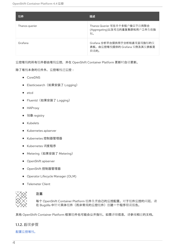| 组件             | 描述                                                                    |
|----------------|-----------------------------------------------------------------------|
| Thanos querier | Thanos Querier 可在单个多租户接口下启用聚合<br>(Aggregating)以及可选的重复集群和用户工作负载指<br>标。 |
| Grafana        | Grafana 分析平台提供用于分析和直观呈现指标的仪<br>表板。由监控堆栈提供的 Grafana 实例及其仪表板是<br>只读的。   |

监控堆栈的所有组件都由堆栈监控,并在 OpenShift Container Platform 更新时自动更新。

除了堆栈本身的组件外,监控堆栈还监控:

- CoreDNS
- Elasticsearch (如果安装了 Logging)
- etcd
- Fluentd(如果安装了 Logging)
- HAProxy
- 镜像 registry
- Kubelets
- Kubernetes apiserver
- Kubernetes 控制器管理器
- Kubernetes 调度程序
- Metering(如果安装了 Metering)
- OpenShift apiserver
- OpenShift 控制器管理器
- Operator Lifecycle Manager (OLM)
- **•** Telemeter Client



## 注意

每个 OpenShift Container Platform 组件负责自己的监控配置。对于组件监控的问题,请 在 Bugzilla 中针对具体组件(而非常规的监控组件)创建一个程序错误报告。

其他 OpenShift Container Platform 框架组件也可能会公开指标。如需详细信息,请参阅相应的文档。

## 1.1.2. 后续步骤

## [配置](https://access.redhat.com/documentation/en-us/openshift_container_platform/4.4/html-single/monitoring/#configuring-the-monitoring-stack)监控堆栈。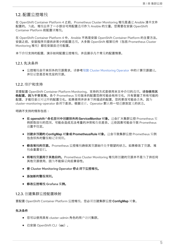## <span id="page-8-0"></span>1.2. 配置监控堆栈

在 OpenShift Container Platform 4 之前,Prometheus Cluster Monitoring 堆栈是通过 Ansible 清单文件 配置的。为此,堆栈公开了一小部分可用配置选项作为 Ansible 的变量。您需要在安装 OpenShift Container Platform 前配置该堆栈。

在 OpenShift Container Platform 4 中,Ansible 不再是安装 OpenShift Container Platform 的主要方法。 安装之前,安装程序只提供非常少的配置选项。大多数 OpenShift 框架组件(包括 Prometheus Cluster Monitoring 堆栈)都在安装后进行配置。

本节介绍支持的配置,演示如何配置监控堆栈,并且展示几个常见的配置情景。

1.2.1. 先决条件

● 监控堆栈会带来额外的资源需求。请参考缩放 Cluster [Monitoring](https://access.redhat.com/documentation/en-us/openshift_container_platform/4.4/html-single/scalability_and_performance/#scaling-cluster-monitoring-operator) Operator 中的计算资源建议, 并验证您是否有充足的资源。

### 1.2.2. 维护和支持

若要配置 OpenShift Container Platform Monitoring, 支持的方式是使用本文中介绍的选项。请勿使用其 他配置,因为不受支持。各个 Prometheus 发行版本的配置范例可能会有所变化,只有掌握了所有可能的 配置,才能稳妥应对这样的配置变化。如果使用并非本节所描述的配置,您的更改可能会丢失,因为 cluster-monitoring-operator 会调节差异。根据设计,Operator 默认将一切还原到定义的状态。

明确不支持的情形包括:

- 在 **openshift-\*** 命名空间中创建额外的**ServiceMonitor** 对象。这会扩大集群监控 Prometheus 实 例抓取目标的范围,可能会造成无法考量的冲突和负载差异。这些因素可能会导致 Prometheus 设置不稳定。
- 创建非预期的 **ConfigMap** 对象或**PrometheusRule** 对象。这会导致集群监控 Prometheus 实例 包含额外的警报和记录规则。
- 修改堆栈的资源。Prometheus 监控堆栈确保其资源始终处于期望的状态。如果修改了资源,堆 栈会重置它们。
- 将堆栈资源用于其他目的。Prometheus Cluster Monitoring 堆栈所创建的资源并不是为了供任何 其他资源使用,因为不能保证向后兼容性。
- 使 Cluster Monitoring Operator 停止调节监控堆栈。
- 添加新的警报规则。
- 修改监控堆栈 Grafana 实例。

#### 1.2.3. 创建集群监控配置映射

要配置 OpenShift Container Platform 监控堆栈,您必须创建集群监控 **ConfigMap** 对象。

#### 先决条件

- 您可以使用具有 cluster-admin 角色的用户访问集群。
- 已安装 OpenShift CLI (oc)。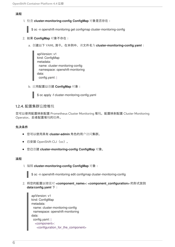## 流程

1. 检查 **cluster-monitoring-config ConfigMap** 对象是否存在:

\$ oc -n openshift-monitoring get configmap cluster-monitoring-config

- 2. 如果 **ConfigMap** 对象不存在:
	- a. 创建以下 YAML 清单。在本例中, 该文件名为 cluster-monitoring-config.yaml:

```
apiVersion: v1
kind: ConfigMap
metadata:
 name: cluster-monitoring-config
 namespace: openshift-monitoring
data:
 config.yaml: |
```
b. 应用配置以创建 **ConfigMap** 对象:



## 1.2.4. 配置集群监控堆栈

您可以使用配置映射配置 Prometheus Cluster Monitoring 堆栈。配置映射配置 Cluster Monitoring Operator,后者配置堆栈的组件。

## 先决条件

- 您可以使用具有 **cluster-admin** 角色的用户访问集群。
- 已安装 OpenShift CLI (oc)。
- 您已创建 **cluster-monitoring-config ConfigMap** 对象。

#### 流程

1. 编辑 **cluster-monitoring-config ConfigMap** 对象:

\$ oc -n openshift-monitoring edit configmap cluster-monitoring-config

2. 将您的配置以键值对 **<component\_name>: <component\_configuration>** 的形式放到 **data/config.yaml** 下:

```
apiVersion: v1
kind: ConfigMap
metadata:
 name: cluster-monitoring-config
 namespace: openshift-monitoring
data:
 config.yaml: |
  <component>:
   <configuration_for_the_component>
```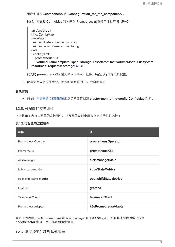相应地替换 **<component>** 和 **<configuration\_for\_the\_component>**。

例如,创建此 ConfigMap 对象来为 Prometheus 配置持久性卷声明 (PVC):

| apiVersion: v1                                                           |  |
|--------------------------------------------------------------------------|--|
| kind: ConfigMap                                                          |  |
| metadata:                                                                |  |
| name: cluster-monitoring-config                                          |  |
| namespace: openshift-monitoring                                          |  |
| data:                                                                    |  |
| config.yaml: $ $                                                         |  |
| prometheusK8s:                                                           |  |
| volumeClaimTemplate: spec: storageClassName: fast volumeMode: Filesystem |  |
| resources: requests: storage: 40Gi                                       |  |

此处的 prometheusK8s 定义 Prometheus 组件,后面几行则定义其配置。

3. 保存文件以使改变生效。受新配置影响的 Pod 会自动重启。

#### 其他资源

请参阅创建集群监[控配置映射以](https://access.redhat.com/documentation/en-us/openshift_container_platform/4.4/html-single/monitoring/#creating-cluster-monitoring-configmap_configuring-monitoring)了解如何创建 **cluster-monitoring-config ConfigMap** 对象。

## 1.2.5. 可配置的监控组件

下表显示了您可以配置的监控组件,以及配置映射中用来指定这些组件的键:

#### 表 1.2. 可配置的监控组件

| 组件                      | 键                     |
|-------------------------|-----------------------|
| Prometheus Operator     | prometheusOperator    |
| Prometheus              | prometheusK8s         |
| Alertmanager            | alertmanagerMain      |
| kube-state-metrics      | kubeStateMetrics      |
| openshift-state-metrics | openshiftStateMetrics |
| Grafana                 | grafana               |
| <b>Telemeter Client</b> | telemeterClient       |
| Prometheus Adapter      | k8sPrometheusAdapter  |

在以上列表中,只有 Prometheus 和 Alertmanager 有许多配置选项。所有其他组件通常仅提供 **nodeSelector** 字段,用于部署到指定节点。

## 1.2.6. 将监控组件移到其他节点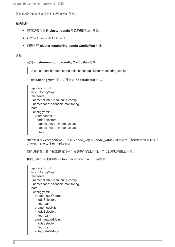您可以将任何监控堆栈组件移到特定的节点。

## 先决条件

- 您可以使用具有 **cluster-admin** 角色的用户访问集群。
- 已安装 OpenShift CLI (oc)。
- 您已创建 **cluster-monitoring-config ConfigMap** 对象。

## 流程

1. 编辑 **cluster-monitoring-config ConfigMap** 对象:

\$ oc -n openshift-monitoring edit configmap cluster-monitoring-config

2. 在 **data/config.yaml** 下为组件指定 **nodeSelector** 约束:

apiVersion: v1 kind: ConfigMap metadata: name: cluster-monitoring-config namespace: openshift-monitoring data: config.yaml: | <component>: nodeSelector: <node\_key>: <node\_value> <node\_key>: <node\_value> <...>

相应地替换 **<component>**,并将 **<node\_key>: <node\_value>** 替换为用于指定目标节点的键值 对映射。通常只使用一个键值对。

组件只能在以各个指定键值对作为标签的节点上运行。节点也可以有附加标签。

例如,要将组件移到具有 **foo: bar** 标签的节点上,请使用:

apiVersion: v1 kind: ConfigMap metadata: name: cluster-monitoring-config namespace: openshift-monitoring data: config.yaml: | prometheusOperator: nodeSelector: foo: bar prometheusK8s: nodeSelector: foo: bar alertmanagerMain: nodeSelector: foo: bar kubeStateMetrics: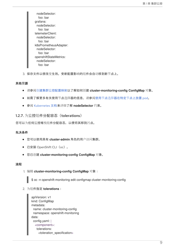nodeSelector: foo: bar grafana: nodeSelector: foo: bar telemeterClient: nodeSelector: foo: bar k8sPrometheusAdapter: nodeSelector: foo: bar openshiftStateMetrics: nodeSelector: foo: bar

3. 保存文件以使改变生效。受新配置影响的组件会自动移到新节点上。

#### 其他资源

- 请参阅创建集群监[控配置映射以](https://access.redhat.com/documentation/en-us/openshift_container_platform/4.4/html-single/monitoring/#creating-cluster-monitoring-configmap_configuring-monitoring)了解如何创建 **cluster-monitoring-config ConfigMap** 对象。
- 如需了解更多有关使用节点选择器的信息,请参阅使用节点选择[器在特定](https://access.redhat.com/documentation/en-us/openshift_container_platform/4.4/html-single/nodes/#nodes-scheduler-node-selectors)节点上放置 pod。
- 参阅 [Kubernetes](https://kubernetes.io/docs/concepts/configuration/assign-pod-node/#nodeselector) 文档来详细了解 **nodeSelector** 约束。

1.2.7. 为监控组件分配容忍(tolerations)

您可以为任何监控堆栈组件分配容忍,以便将其移到污点。

## 先决条件

- 您可以使用具有 **cluster-admin** 角色的用户访问集群。
- 已安装 OpenShift CLI (oc)。
- 您已创建 **cluster-monitoring-config ConfigMap** 对象。

#### 流程

1. 编辑 **cluster-monitoring-config ConfigMap** 对象:

\$ oc -n openshift-monitoring edit configmap cluster-monitoring-config

2. 为组件指定 **tolerations**:

```
apiVersion: v1
kind: ConfigMap
metadata:
 name: cluster-monitoring-config
 namespace: openshift-monitoring
data:
 config.yaml: |
  <component>:
   tolerations:
     <toleration_specification>
```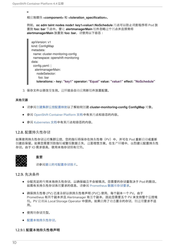$\overline{a}$ 

相应地替换 **<component>** 和 **<toleration\_specification>**。

例如,**oc adm taint nodes node1 key1=value1:NoSchedule** 污点可以防止调度程序将 Pod 放 置到 **foo: bar** 节点中。要让 **alertmanagerMain** 组件忽略这个污点并且照常将 **alertmanagerMain** 放置到 **foo: bar**,请使用以下容忍:

apiVersion: v1 kind: ConfigMap metadata: name: cluster-monitoring-config namespace: openshift-monitoring data: config.yaml: | alertmanagerMain: nodeSelector: foo: bar **tolerations: - key: "key1" operator: "Equal" value: "value1" effect: "NoSchedule"**

3. 保存文件以使改变生效。这样就会自动应用新组件放置配置。

#### 其他资源

- 请参阅创建集群监[控配置映射以](https://access.redhat.com/documentation/en-us/openshift_container_platform/4.4/html-single/monitoring/#creating-cluster-monitoring-configmap_configuring-monitoring)了解如何创建 **cluster-monitoring-config ConfigMap** 对象。
- 参阅 [OpenShift](https://access.redhat.com/documentation/en-us/openshift_container_platform/4.4/html-single/nodes/#nodes-scheduler-taints-tolerations) Container Platform 文档中有关污点和容忍的内容。
- 参阅 [Kubernetes](https://kubernetes.io/docs/concepts/configuration/taint-and-toleration/) 文档中有关污点和容忍的内容。

## 1.2.8. 配置持久性存储

如果使用持久性存储运行集群监控,您的指标将保存在持久性卷(PV)中,并可在 Pod 重新启动或重新 创建后保留。如果您需要预防指标或警报数据丢失,这是理想方案。在生产环境中,强烈建议配置持久性 存储。由于 IO 需求很高,使用本地存储颇有优势。



## 重要

请参阅建议[的可配置存](https://access.redhat.com/documentation/en-us/openshift_container_platform/4.4/html-single/scalability_and_performance/#recommended-configurable-storage-technology_persistent-storage)储技术。

1.2.9. 先决条件

- 分配充足的专用本地持久性存储,以确保磁盘不会被填满。您需要的存储量取决于 Pod 的数目。 如需有关持久性存储系统要求的信息,请参阅 [Prometheus](https://access.redhat.com/documentation/en-us/openshift_container_platform/4.4/html-single/scalability_and_performance/#prometheus-database-storage-requirements) 数据库存储要求。
- 确保持久性卷 (PV) 已准备好以供持久性卷声明 (PVC) 使用,每个副本一个 PV。由于 Prometheus 有两个副本并且 Alertmanager 有三个副本,因此您需要五个 PV 来支持整个监控堆 栈。PV 应该从 Local Storage Operator 中提供。如果启用了动态置备的存储,则这项要求不适 用。
- 使用块存储类型。
- [配置本地持久性存](https://access.redhat.com/documentation/en-us/openshift_container_platform/4.4/html-single/storage/#persistent-storage-using-local-volume)储。

## 1.2.9.1. 配置本地持久性卷声明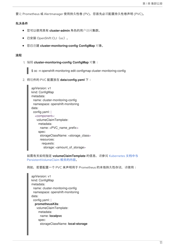要让 Prometheus 或 Alertmanager 使用持久性卷 (PV),您首先必须配置持久性卷声明 (PVC)。

## 先决条件

- 您可以使用具有 **cluster-admin** 角色的用户访问集群。
- 已安装 OpenShift CLI (oc)。
- 您已创建 **cluster-monitoring-config ConfigMap** 对象。

#### 流程

1. 编辑 **cluster-monitoring-config ConfigMap** 对象:

\$ oc -n openshift-monitoring edit configmap cluster-monitoring-config

2. 将组件的 PVC 配置放在 **data/config.yaml** 下:

apiVersion: v1 kind: ConfigMap metadata: name: cluster-monitoring-config namespace: openshift-monitoring data: config.yaml: | <component>: volumeClaimTemplate: metadata: name: <PVC\_name\_prefix> spec: storageClassName: <storage\_class> resources: requests: storage: <amount\_of\_storage>

如需有关如何指定 **[volumeClaimTemplate](https://kubernetes.io/docs/concepts/storage/persistent-volumes/#persistentvolumeclaims)** 的信息,请参阅 Kubernetes 文档中与 PersistentVolumeClaim 相关的内容。

例如,若要配置一个 PVC 来声明用于 Prometheus 的本地持久性存储,请使用:

```
apiVersion: v1
kind: ConfigMap
metadata:
 name: cluster-monitoring-config
 namespace: openshift-monitoring
data:
 config.yaml: |
  prometheusK8s:
   volumeClaimTemplate:
    metadata:
     name: localpvc
    spec:
     storageClassName: local-storage
```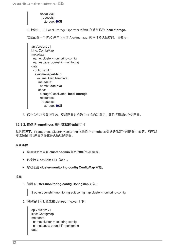

3. 保存文件以使改变生效。受新配置影响的 Pod 会自动重启,并且应用新的存储配置。

#### 1.2.9.2. 修改 Prometheus 指标数据的保留时间

默认情况下, Prometheus Cluster Monitoring 堆栈将 Prometheus 数据的保留时间配置为 15 天。您可以 修改保留时间来更改将在多久后删除数据。

## 先决条件

- 您可以使用具有 **cluster-admin** 角色的用户访问集群。
- 已安装 OpenShift CLI (oc)。
- 您已创建 **cluster-monitoring-config ConfigMap** 对象。

#### 流程

1. 编辑 **cluster-monitoring-config ConfigMap** 对象:

\$ oc -n openshift-monitoring edit configmap cluster-monitoring-config

2. 将保留时间配置放在 **data/config.yaml** 下:

apiVersion: v1 kind: ConfigMap metadata: name: cluster-monitoring-config namespace: openshift-monitoring data: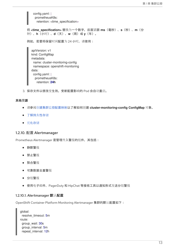config.yaml: | prometheusK8s: retention: <time\_specification>

将 **<time\_specification>** 替换为一个数字,后面紧跟 **ms**(毫秒)、**s**(秒)、**m**(分 钟)、**h**(小时)、**d**(天)、**w**(周)或 **y**(年)。

例如,若要将保留时间配置为 24 小时,请使用:

apiVersion: v1 kind: ConfigMap metadata: name: cluster-monitoring-config namespace: openshift-monitoring data: config.yaml: | prometheusK8s: retention: **24h**

3. 保存文件以使改变生效。受新配置影响的 Pod 会自动重启。

#### 其他资源

- 请参阅创建集群监[控配置映射以](https://access.redhat.com/documentation/en-us/openshift_container_platform/4.4/html-single/monitoring/#creating-cluster-monitoring-configmap_configuring-monitoring)了解如何创建 **cluster-monitoring-config ConfigMap** 对象。
- [了解持久性存](https://access.redhat.com/documentation/en-us/openshift_container_platform/4.4/html-single/storage/#understanding-persistent-storage)储
- 优[化存](https://access.redhat.com/documentation/en-us/openshift_container_platform/4.4/html-single/scalability_and_performance/#optimizing-storage)储

## 1.2.10. 配置 Alertmanager

Prometheus Alertmanager 是管理传入警报的组件, 其包括:

- 静默警报
- 禁止警报
- 聚合警报
- 可靠数据去重警报
- 分组警报
- 使用电子邮件、PagerDuty 和 HipChat 等接收工具以通知形式发送分组警报

## 1.2.10.1. Alertmanager 默认配置

OpenShift Container Platform Monitoring Alertmanager 集群的默认配置如下:

global: resolve\_timeout: 5m route: group\_wait: 30s group\_interval: 5m repeat\_interval: 12h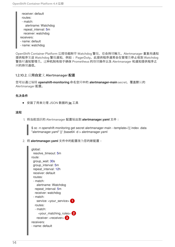receiver: default routes: - match:

alertname: Watchdog repeat\_interval: 5m receiver: watchdog receivers:

- name: default

- name: watchdog

OpenShift Container Platform 监控功能附带 Watchdog 警报,它会持续触发。Alertmanager 重复向通知 提供程序发送 Watchdog 警报通知,例如: PagerDuty。此提供程序通常会在管理员停止收到 Watchdog 警告时通知管理员。这种机制有助于确保 Prometheus 的继续操作以及 Alertmanager 和通知提供程序之 间的持续通信。

## 1.2.10.2. 应用自定义 Alertmanager 配置

您可以通过编辑 **openshift-monitoring** 命名空间中的 **alertmanager-main** secret,覆盖默认的 Alertmanager 配置。

## 先决条件

安装了用来处理 JSON 数据的 **jq** 工具

## 流程

1. 将当前活跃的 Alertmanager 配置输出到 **alertmanager.yaml** 文件:

\$ oc -n openshift-monitoring get secret alertmanager-main --template='{{ index .data "alertmanager.yaml" }}' |base64 -d > alertmanager.yaml

2. 将 **alertmanager.yaml** 文件中的配置改为您的新配置:

<span id="page-17-2"></span><span id="page-17-1"></span><span id="page-17-0"></span>

| global:<br>resolve_timeout: 5m<br>route:<br>group_wait: 30s<br>group_interval: 5m<br>repeat_interval: 12h<br>receiver: default<br>routes:<br>- match:<br>alertname: Watchdog<br>repeat interval: 5m<br>receiver: watchdog<br>- match:<br>service: <your_service><br/>routes:<br/>- match:<br/><your_matching_rules> 2<br/>receiver: <receiver> 3<br/>receivers:</receiver></your_matching_rules></your_service> |
|-----------------------------------------------------------------------------------------------------------------------------------------------------------------------------------------------------------------------------------------------------------------------------------------------------------------------------------------------------------------------------------------------------------------|
| - name: default                                                                                                                                                                                                                                                                                                                                                                                                 |
|                                                                                                                                                                                                                                                                                                                                                                                                                 |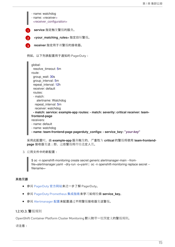[1](#page-17-0) [2](#page-17-1) [3](#page-17-2) **service** 指定触发警报的服务。 **<your\_matching\_rules>** 指定目标警报。 **receiver** 指定用于该警报的接收器。 例如,以下列表配置用于通知的 PagerDuty: - name: watchdog - name: <receiver> <receiver\_configuration> global: resolve\_timeout: 5m route: group\_wait: 30s group\_interval: 5m repeat\_interval: 12h receiver: default routes: - match: alertname: Watchdog repeat\_interval: 5m receiver: watchdog **- match: service: example-app routes: - match: severity: critical receiver: teamfrontend-page** receivers: - name: default - name: watchdog **- name: team-frontend-page pagerduty\_configs: - service\_key: "***your-key***"**

采用此配置时,由 example-app 服务触发的、严重性为 critical 的警报将使用 team-frontend**page** 接收器发送;即,这些警报将传给选定人员。

3. 应用文件中的新配置:

\$ oc -n openshift-monitoring create secret generic alertmanager-main --fromfile=alertmanager.yaml --dry-run -o=yaml | oc -n openshift-monitoring replace secret -filename=-

## 其他资源

- 参阅 [PagerDuty](https://www.pagerduty.com/) 官方网站来进一步了解 PagerDuty。
- **参阅 PagerDuty [Prometheus](https://www.pagerduty.com/docs/guides/prometheus-integration-guide/) 集成指南来学习如何检索 service\_key。**
- 参阅 [Alertmanager](https://prometheus.io/docs/alerting/configuration/) 配置来配置通过不同警报接收器发送警报。

## 1.2.10.3. 警报规则

OpenShift Container Platform Cluster Monitoring 默认附带一组预定义的警报规则。

请注意: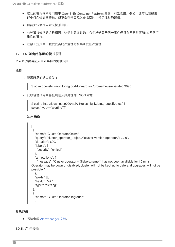- 默认的警报规则专门用于 OpenShift Container Platform 集群, 别无它用。例如, 您可以获得集 群中持久性卷的警报,但不会获得自定义命名空间中持久性卷的警报。
- 目前无法添加自定义警报规则。
- 有些警报规则的名称相同。这是有意设计的。它们发送关于同一事件但具有不同阈值和/或不同严 重性的警报。
- 在禁止规则中,触发较高的严重性时会禁止较低严重性。  $\bullet$

## 1.2.10.4. 列出起作用的警报规则

您可以列出当前应用到集群的警报规则。

## 流程

1. 配置所需的端口转发:

\$ oc -n openshift-monitoring port-forward svc/prometheus-operated 9090

2. 获取包含作用中警报规则及其属性的 JSON 对象:

\$ curl -s http://localhost:9090/api/v1/rules | jq '[.data.groups[].rules[] | select(.type=="alerting")]'

```
输出示例
```

```
\lceil{
  "name": "ClusterOperatorDown",
  "query": "cluster_operator_up{job=\"cluster-version-operator\"} == 0",
  "duration": 600,
  "labels": {
   "severity": "critical"
  },
  "annotations": {
    "message": "Cluster operator {{ $labels.name }} has not been available for 10 mins.
Operator may be down or disabled, cluster will not be kept up to date and upgrades will not be
possible."
  },
  "alerts": [],
  "health": "ok",
  "type": "alerting"
```

```
{
 "name": "ClusterOperatorDegraded",
```
## 其他资源

另请参阅 [Alertmanager](https://prometheus.io/docs/alerting/alertmanager/) 文档。

1.2.11. 后续步骤

},

...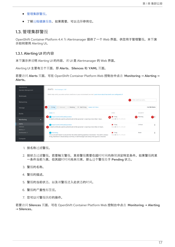- $\bullet$ [管理集群警](https://access.redhat.com/documentation/en-us/openshift_container_platform/4.4/html-single/monitoring/#managing-cluster-alerts)报。
- 了解远[程健康](https://access.redhat.com/documentation/en-us/openshift_container_platform/4.4/html-single/support/#opting-out-remote-health-reporting_opting-out-remote-health-reporting)报告,如果需要,可以选择停用它。

## <span id="page-20-0"></span>1.3. 管理集群警报

OpenShift Container Platform 4.4 为 Alertmanager 提供了一个 Web 界面, 供您用于管理警报。本节演 示如何使用 Alerting UI。

## 1.3.1. Alerting UI 的内容

本节演示并说明 Alerting UI 的内容,该 UI 是 Alertmanager 的 Web 界面。

Alerting UI 主要有三个页面, 即 Alerts、Silences 和 YAML 页面。

若要访问 Alerts 页面, 可在 OpenShift Container Platform Web 控制台中点击 Monitoring → Alerting → Alerts。

| OperatorHub<br>Operator Management | Alerts Alertmanager UIL                                                                                                                    |                                                |                        |
|------------------------------------|--------------------------------------------------------------------------------------------------------------------------------------------|------------------------------------------------|------------------------|
| Workloads                          | Alerts help notify you when certain conditions in your environment are met. Learn more about how alerts are configured.                    |                                                |                        |
| Networking                         |                                                                                                                                            |                                                | Filter Alerts by name  |
| Storage                            | Ø<br>3 Firing<br>0 Silenced<br>4 Pending<br>59 Not Firing<br>Select All Filters                                                            |                                                | 3 of 66 Items          |
| <b>Builds</b>                      | NAME 1                                                                                                                                     | <b>STATE</b>                                   | SEVERITY               |
| Monitoring<br>$\checkmark$         | <b>B</b> AL KubeClientCertificateExpiration<br>A client certificate used to authenticate to the apiserver is expiring in less than 7 days. | Firing<br>$\bullet$<br>Since @ Mar 15, 2:01 pm | <b>Co</b> Warning<br>வ |
| Alerts                             | AL KubeClientCertificateExpiration                                                                                                         | <b>A</b> Firina                                | Critical               |
| Silences                           | A client certificate used to authenticate to the apiserver is expiring in less than 24 hours.                                              | Since @ Mar 15, 2:01 pm                        |                        |
| Metrics $\varnothing$              |                                                                                                                                            |                                                |                        |
| Dashboards <sup>7</sup>            | AL Watchdog<br>This is an alert meant to ensure that the entire alerting pipeline is functional. This alert is always                      | Firing<br>Since @ Mar 15, 1:59 pm              | None                   |
| Compute                            | firing, therefore it should always be firing in Alertmanager and always fire against a receiver.                                           |                                                |                        |

- 1. 按名称过滤警报。
- 2. 按状态过滤警报。若要触发警报,某些警报需要在超时时间内持续满足特定条件。如果警报的某 一条件当前为真,但其超时时间尚未结束,那么这个警报处于 Pending 状态。
- 3. 警报的名称。
- 4. 警报的描述。
- 5. 警报的当前状态,以及该警报进入此状态的时间。
- 6. 警报的严重性标签值。
- 7. 您可以对警报执行的操作。

若要访问 Silences 页面, 可在 OpenShift Container Platform Web 控制台中点击 Monitoring → Alerting  $\rightarrow$  Silences。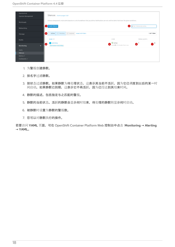| OperatorHub<br>Operator Management | Silences Alertmanager UIG                                                                                                                            |                                                     |                                |
|------------------------------------|------------------------------------------------------------------------------------------------------------------------------------------------------|-----------------------------------------------------|--------------------------------|
| Workloads                          | Silences temporarily mute alerts based on a set of conditions that you define. Notifications are not sent for alerts that meet the given conditions. |                                                     |                                |
| Networking                         | (1) Create Silence                                                                                                                                   |                                                     | Filter Silences by name<br>2   |
| Storage                            | 0 Expired Select All Filters<br>$\boxed{0}$ Pending<br>€<br>Active                                                                                   |                                                     | 1 of 1 Item                    |
| <b>Builds</b>                      | NAME <sub>1</sub>                                                                                                                                    | STATE                                               | FIRING ALERTS                  |
| Monitoring                         | SL watchdog<br>4<br>alertname=watchdog<br>$\mathbf{v}$                                                                                               | $\bullet$ Active<br>0<br>Ends @ 40 minutes from now | $\bullet$ <sup>o</sup><br>e, i |
| Alerts                             |                                                                                                                                                      |                                                     |                                |
| Silences                           |                                                                                                                                                      |                                                     |                                |
| Metrics $\mathbb{Z}$               |                                                                                                                                                      |                                                     |                                |
| Dashboards <sup>7</sup>            |                                                                                                                                                      |                                                     |                                |

- 1. 为警报创建静默。
- 2. 按名字过滤静默。
- 3. 按状态过滤静默。如果静默为待处理状态,这表示其当前不活跃,因为它已调度到以后的某一时 间启动。如果静默已到期,这表示它不再活跃,因为已经达到其结束时间。
- 4. 静默的描述。包括指定与之匹配的警报。
- 5. 静默的当前状态。活跃的静默会显示何时结束,待处理的静默则显示何时启动。
- 6. 被静默时设置为静默的警报数。
- 7. 您可以对静默执行的操作。

若要访问 YAML 页面,可在 OpenShift Container Platform Web 控制台中点击 Monitoring → Alerting  $\rightarrow$  YAML.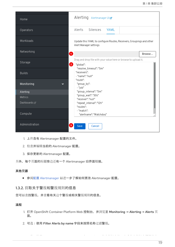| Home                       | Alerting Alertmanager UIE                                                                      |
|----------------------------|------------------------------------------------------------------------------------------------|
| Operators                  | Silences<br>Alerts<br>YAML                                                                     |
| Workloads                  | Update this YAML to configure Routes, Receivers, Groupings and other<br>Alert Manager settings |
| Networking                 | O<br>Browse                                                                                    |
| Storage                    | Drag and drop file with your value here or browse to upload it.<br>$\mathbf{z}$<br>"global":   |
| <b>Builds</b>              | "resolve_timeout": "5m"<br>"receivers":<br>- "name": "null"                                    |
| Monitoring<br>$\checkmark$ | "route":<br>"group_by":<br>- "job"                                                             |
| Alerting                   | "group_interval": "5m"                                                                         |
| Metrics                    | "group_wait": "30s"<br>"receiver": "null"                                                      |
| Dashboards <sup>[7]</sup>  | "repeat_interval": "12h"                                                                       |
| Compute                    | "routes":<br>- "match":<br>"alertname": "Watchdog"                                             |
| Administration             | Cancel<br>Save                                                                                 |

- 1. 上传含有 Alertmanager 配置的文件。
- 2. 检查并编辑当前的 Alertmanager 配置。
- 3. 保存更新的 Alertmanager 配置。

另外,每个页面的标题旁边还有一个 Alertmanager 旧界面链接。

## 其他资源

● 参阅配置 [Alertmanager](https://docs.openshift.com/container-platform/4.2/monitoring/cluster_monitoring/configuring-the-monitoring-stack.html#configuring-alertmanager) 以进一步了解如何更改 Alertmanager 配置。

## 1.3.2. 获取关于警报和警报规则的信息

您可以查找警报,并查看有关这个警报或相关警报规则的信息。

## 流程

1. 打开 OpenShift Container Platform Web 控制台,并浏览至 Monitoring → Alerting → Alerts 页 面。

3. 可选:使用 Firing、Silenced、Pending 和 Not firing状态按钮中的一个或多个按钮来根据状态

2. 可选:使用 Filter Alerts by name 字段来按照名称过滤警报。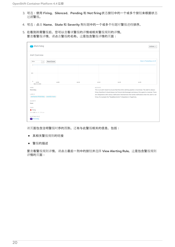- 3. 可选:使用 Firing、Silenced、Pending 和 Not firing状态按钮中的一个或多个按钮来根据状态 过滤警报。
- 4. 可选:点击 Name、State 和 Severity 列标题中的一个或多个标题对警报进行排序。
- 5. 在看到所需警报后,您可以查看该警报的详情或相关警报规则的详情。 要查看警报详情,请点击警报的名称。这是包含警报详情的页面:

| AL Watchdog                                             |            |       |         |                                                                    | Actions $\sim$                                                                                                                                                                                                  |
|---------------------------------------------------------|------------|-------|---------|--------------------------------------------------------------------|-----------------------------------------------------------------------------------------------------------------------------------------------------------------------------------------------------------------|
| Alert Overview                                          |            |       |         |                                                                    |                                                                                                                                                                                                                 |
| 30 <sub>m</sub><br>$\checkmark$                         | Reset Zoom |       |         |                                                                    | View in Prometheus UI &                                                                                                                                                                                         |
| $1-$                                                    |            |       |         |                                                                    |                                                                                                                                                                                                                 |
| $0.5 -$                                                 |            |       |         |                                                                    |                                                                                                                                                                                                                 |
| $\circ$<br>14:00<br>Mar 15, 2019                        | 14:05      | 14:10 | 14:15   | 14:20                                                              | 14:25                                                                                                                                                                                                           |
| NAME<br>Watchdog                                        |            |       | MESSAGE |                                                                    | This is an alert meant to ensure that the entire alerting pipeline is functional. This alert is always                                                                                                          |
| LABELS<br>alertname=Watchdog severity=none              |            |       |         | firing. For example the "DeadMansSnitch" integration in PagerDuty. | firing, therefore it should always be firing in Alertmanager and always fire against a receiver. There<br>are integrations with various notification mechanisms that send a notification when this alert is not |
| SEVERITY<br>None                                        |            |       |         |                                                                    |                                                                                                                                                                                                                 |
| STATE<br>Firing                                         |            |       |         |                                                                    |                                                                                                                                                                                                                 |
| Since @ Mar 15, 1:59 pm<br>ALERTING RULE<br>AR Watchdog |            |       |         |                                                                    |                                                                                                                                                                                                                 |

该页面包含注明警报时序的图形。还有与此警报相关的信息,包括:

- 其相关警报规则的链接
- 警报的描述

要查看警报规则详情,请点击最后一列中的按钮并选择 View Alerting Rule。这是包含警报规则 详情的页面: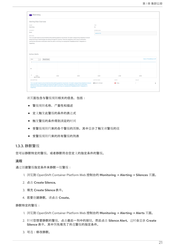| <b>AR</b> Watchdog                                                                                                                                                                                                                                                                                                                                                                              |                                                                                                                    |                                                                                                                                                                                                                                                             |                   |        |                         |  |  |
|-------------------------------------------------------------------------------------------------------------------------------------------------------------------------------------------------------------------------------------------------------------------------------------------------------------------------------------------------------------------------------------------------|--------------------------------------------------------------------------------------------------------------------|-------------------------------------------------------------------------------------------------------------------------------------------------------------------------------------------------------------------------------------------------------------|-------------------|--------|-------------------------|--|--|
| Alerting Rule Overview                                                                                                                                                                                                                                                                                                                                                                          |                                                                                                                    |                                                                                                                                                                                                                                                             |                   |        |                         |  |  |
| NAME                                                                                                                                                                                                                                                                                                                                                                                            |                                                                                                                    |                                                                                                                                                                                                                                                             | FOR               |        |                         |  |  |
| Watchdog                                                                                                                                                                                                                                                                                                                                                                                        |                                                                                                                    |                                                                                                                                                                                                                                                             | 0s                |        |                         |  |  |
| SEVERITY                                                                                                                                                                                                                                                                                                                                                                                        |                                                                                                                    |                                                                                                                                                                                                                                                             | EXPRESSION        |        |                         |  |  |
| None                                                                                                                                                                                                                                                                                                                                                                                            |                                                                                                                    |                                                                                                                                                                                                                                                             | vector(1)         |        |                         |  |  |
| MESSAGE                                                                                                                                                                                                                                                                                                                                                                                         |                                                                                                                    |                                                                                                                                                                                                                                                             |                   |        |                         |  |  |
| This is an alert meant to ensure that the entire alerting pipeline is functional. This alert is always firing, therefore it should<br>always be firing in Alertmanager and always fire against a receiver. There are integrations with various notification<br>mechanisms that send a notification when this alert is not firing. For example the "DeadMansSnitch" integration in<br>PagerDuty. |                                                                                                                    |                                                                                                                                                                                                                                                             |                   |        |                         |  |  |
| <b>Active Alerts</b><br>30m<br>Reset Zoom<br>$\checkmark$<br>$1 -$                                                                                                                                                                                                                                                                                                                              |                                                                                                                    |                                                                                                                                                                                                                                                             |                   |        | View in Prometheus UIC* |  |  |
|                                                                                                                                                                                                                                                                                                                                                                                                 |                                                                                                                    |                                                                                                                                                                                                                                                             |                   |        |                         |  |  |
| 0.5<br>$\circ$<br>14:10                                                                                                                                                                                                                                                                                                                                                                         | 14:15                                                                                                              | 14:20                                                                                                                                                                                                                                                       | 14:25             | 14:30  | 14:35                   |  |  |
| Mar 15, 2019                                                                                                                                                                                                                                                                                                                                                                                    |                                                                                                                    |                                                                                                                                                                                                                                                             |                   |        |                         |  |  |
| DESCRIPTION                                                                                                                                                                                                                                                                                                                                                                                     |                                                                                                                    |                                                                                                                                                                                                                                                             | ACTIVE SINCE      | STATE  | VALUE                   |  |  |
|                                                                                                                                                                                                                                                                                                                                                                                                 | mechanisms that send a notification when this alert is not firing. For example the "DeadMansSnitch" integration in | This is an alert meant to ensure that the entire alerting pipeline is functional. This alert is always firing, therefore it should<br>always be firing in Alertmanager and always fire against a receiver. There are integrations with various notification | @ Mar 15, 1:59 pm | Firing | $\mathbf{1}$<br>÷       |  |  |

该页面包含与警报规则相关的信息,包括:

- 警报规则名称、严重性和描述
- 定义触发此警报的条件的表达式
- 触发警报的条件得到满足的时间
- 受警报规则约束的各个警报的图形,其中显示了触发该警报的值
- 受警报规则约束的所有警报的列表

## 1.3.3. 静默警报

您可以静默特定的警报,或者静默符合您定义的指定条件的警报。

## 流程

通过创建警报指定条件来静默一组警报:

- 1. 浏览到 OpenShift Container Platform Web 控制台的 Monitoring → Alerting → Silences 页面。
- 2. 点击 Create Silence。
- 3. 填充 Create Silence表单。
- 4. 若要创建静默, 请点击 Create。

#### 静默特定的警报:

- 1. 浏览到 OpenShift Container Platform Web 控制台的 Monitoring → Alerting → Alerts 页面。
- 2. 针对您想要静默的警报,点击最后一列中的按钮,然后点击 Silence Alert。这时会显示 Create Silence 表单, 其中预先填充了所选警报的指定条件。
- 3. 可选:修改静默。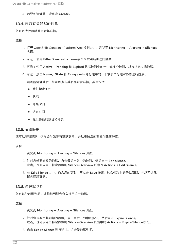4. 若要创建静默, 请点击 Create。

#### 1.3.4. 获取有关静默的信息

您可以查找静默并查看其详情。

#### 流程

- 1. 打开 OpenShift Container Platform Web 控制台,并浏览至 Monitoring → Alerting → Silences 页面。
- 2. 可选:使用 Filter Silences by name 字段来按照名称过滤静默。
- 3. 可选:使用 Active、Pending 和 Expired 状态按钮中的一个或多个按钮, 以按状态过滤静默。
- 4. 可选:点击 Name、State 和 Firing alerts 列标题中的一个或多个标题对静默进行排序。
- 5. 看到所需静默后,您可以点击其名称查看详情,其中包括:
	- 警报指定条件
	- 状态
	- 开始时间
	- 结束时间
	- 触发警报的数目和列表

## 1.3.5. 编辑静默

您可以编辑静默,这样会导致现有静默到期,并以更改后的配置创建新静默。

### 流程

- 1. 浏览到 Monitoring → Alerting → Silences 页面。
- 2. 针对您想要修改的静默,点击最后一列中的按钮,然后点击 Edit silence。 或者, 也可以点击特定静默的 Silence Overview 页中的 Actions → Edit Silence。
- 3. 在 Edit Silence 页中, 输入您的更改, 再点击 Save 按钮。这会使现有的静默到期, 并以所选配 置创建新静默。

## 1.3.6. 使静默到期

您可以让静默到期。让静默到期会永久停用这一静默。

#### 流程

- 1. 浏览到 Monitoring → Alerting → Silences 页面。
- 2. 针对您想要令其到期的静默,点击最后一列中的按钮,然后点击 Expire Silence。 或者, 也可以点击特定静默的 Silence Overview 页面中的 Actions → Expire Silence 按钮。
- 3. 点击 Expire Silence 进行确认。这会使静默到期。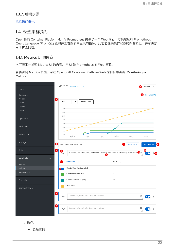## 1.3.7. 后续步骤

检查[集群指](https://access.redhat.com/documentation/en-us/openshift_container_platform/4.4/html-single/monitoring/#examining-cluster-metrics)标。

## <span id="page-26-0"></span>1.4. 检查集群指标

OpenShift Container Platform 4.4 为 Prometheus 提供了一个 Web 界面, 可供您运行 Prometheus Query Language (PromQL) 查询并查看图表中呈现的指标。此功能提供集群状态的综合概览,并可供您 用于排查问题。

## 1.4.1. Metrics UI 的内容

本节演示并说明 Metrics UI 的内容,该 UI 是 Prometheus 的 Web 界面。

若要访问 Metrics 页面,可在 OpenShift Container Platform Web 控制台中点击 Monitoring → Metrics。



1. 操作。

添加查询。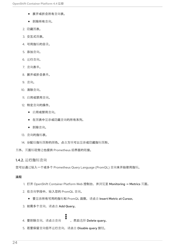- 展开或折叠所有查询表。
- 删除所有查询。
- 2. 隐藏图表。
- 3. 交互式图表。
- 4. 可用指标的目录。
- 5. 添加查询。
- 6. 运行查询。
- 7. 查询表单。
- 8. 展开或折叠表单。
- 9. 查询。
- 10. 清除查询。
- 11. 启用或禁用查询。
- 12. 特定查询的操作。
	- 启用或禁用查询。
	- 在图表中显示或隐藏查询的所有系列。
	- 删除查询。
- 13. 查询的指标表。
- 14. 分配给指标图形的颜色。点击方块可以显示或隐藏指标图形。
- 另外,页面标题旁边也提供 Prometheus 旧界面的链接。

1.4.2. 运行指标查询

您可以通过输入一个或多个 Prometheus Query Language (PromQL) 查询来开始使用指标。

#### 流程

- 1. 打开 OpenShift Container Platform Web 控制台,并浏览至 Monitoring → Metrics 页面。
- 2. 在查询字段中,输入您的 PromQL 查询。
	- 要显示所有可用的指标和 PromQL 函数, 请点击 Insert Metric at Cursor。
- 3. 如需多个查询, 请点击 Add Query。
- 
- 4. 要删除查询, 请点击查询 , 然后选择 Delete query。
- 5. 若要保留查询但不运行查询, 请点击 Disable query 按钮。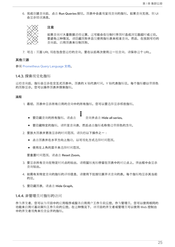6. 完成创建查询后, 点击 Run Queries 按钮。图表中会直观呈现查询的指标。如果查询无效, 则 UI 会显示错误消息。



#### 注意

如果查询对大量数据进行运算,这可能会在绘制时序图时造成浏览器超时或过载。 要避免这种情况,请隐藏图形并且仅使用指标表来校准查询。然后,在找到可行的 查询后,启用图表来绘制图形。

7. 可选:页面 URL 现在包含您运行的查询。要在以后再次使用这一组查询,请保存这个 URL。

#### 其他资源

参阅 [Prometheus](https://prometheus.io/docs/prometheus/latest/querying/basics/) Query Language 文档。

#### 1.4.3. 探索视觉化指标

运行查询后,指标会显示在交互式图表中。图表的 X 轴代表时间。Y 轴代表指标值。每个指标都以带颜色 的图形显示。您可以操作图表并探索指标。

#### 流程

1. 最初, 图表中显示所有启用的查询中的所有指标。您可以要选择显示哪些指标。

- ፡ ● 要隐藏查询的所有指标, 请点击 —— 查询并点击 Hide all series。
- 要隐藏特定的指标,请转至查询表,然后点击指标名称旁边带颜色的方块。
- 2. 要放大图表并更改显示的时间范围,请执行以下操作之一:
	- 点击图表并在水平方向上拖动, 以可视化方式选择时间范围。
	- 使用左上角的菜单来选择时间范围。

要重置时间范围, 请点击 Reset Zoom。

- 3. 要显示所有查询在特定时间点的输出,请将鼠标光标停留在图表中的对应点上。弹出框中会显示 查询输出。
- 4. 如需有关特定查询的指标的详细信息,请使用下拉按钮展开该查询的表。每个指标均显示其当前 的值。
- 5. 要隐藏图表, 请点击 Hide Graph。

#### 1.4.4. 非管理员对指标的访问

作为开发者,您可以为项目中的应用程序或服务启用用户工作负载监控。作为管理员,您可以使用相同的 功能来启用对基础架构工作负载的监控。在这种情况下,该项目的开发者或管理员可以使用 Web 控制台 中的开发者视角来检查公开的指标。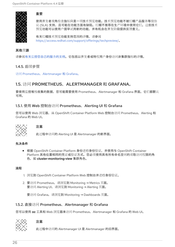

## 重要

使用开发者视角检查指标只是一项技术预览功能。技术预览功能不被红帽产品服务等级协 议 (SLA) 支持,且可能在功能方面有缺陷。红帽不推荐在生产环境中使用它们。这些技术 预览功能可以使用户提早试用新的功能,并有机会在开发阶段提供反馈意见。

有关红帽技术预览功能支持范围的详情,请参阅 <https://access.redhat.com/support/offerings/techpreview/>。

## 其他资源

请参阅有关监[控您自己的服](https://access.redhat.com/documentation/en-us/openshift_container_platform/4.4/html-single/monitoring/#monitoring-your-own-services)务的文档。它包括以开发者或特权用户身份访问非集群指标的详情。

## 1.4.5. 后续步骤

访问 Prometheus、[Alertmanager](https://access.redhat.com/documentation/en-us/openshift_container_platform/4.4/html-single/monitoring/#prometheus-alertmanager-and-grafana) 和 Grafana。

## <span id="page-29-0"></span>1.5. 访问 PROMETHEUS、ALERTMANAGER 和 GRAFANA。

要使用监控堆栈收集的数据,您可能需要使用 Prometheus、Alertmanager 和 Grafana 界面。它们都默认 可用。

## 1.5.1. 使用 Web 控制台访问 Prometheus、Alerting UI 和 Grafana

您可以使用 Web 浏览器,从 OpenShift Container Platform Web 控制台访问 Prometheus、Alerting 和 Grafana 的 Web UI。



## 注意

此过程中访问的 Alerting UI 是 Alertmanager 的新界面。

## 先决条件

● 根据 OpenShift Container Platform 身份进行身份验证,并使用与 OpenShift Container Platform 其他位置相同的凭证或验证方式。您必须使用具有所有命名空间的读取访问权限的角 色,如 **cluster-monitoring-view** 集群角色。

## 流程

- 1. 浏览到 OpenShift Container Platform Web 控制台并进行身份验证。
- 2. 要访问 Prometheus, 请浏览到 Monitoring → Metrics 页面。 要访问 Alerting UI,请浏览到 Monitoring → Alerting 页面。

要访问 Grafana,请浏览到 Monitoring → Dashboards 页面。

## 1.5.2. 直接访问 Prometheus、Alertmanager 和 Grafana

您可以使用 **oc** 工具和 Web 浏览器来访问 Prometheus、Alertmanager 和 Grafana 的 Web UI。



## 注意

此过程中访问的 Alertmanager UI 是 Alertmanager 的旧界面。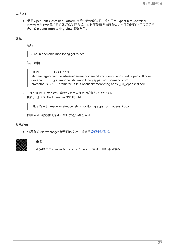#### 先决条件

● 根据 OpenShift Container Platform 身份进行身份验证,并使用与 OpenShift Container Platform 其他位置相同的凭证或验证方式。您必须使用具有所有命名空间的读取访问权限的角 色,如 **cluster-monitoring-view** 集群角色。

## 流程

1. 运行:

\$ oc -n openshift-monitoring get routes

## 输出示例

NAME HOST/PORT alertmanager-main alertmanager-main-openshift-monitoring.apps. url .openshift.com ... grafana grafana-openshift-monitoring.apps.\_url\_.openshift.com ... prometheus-k8s prometheus-k8s-openshift-monitoring.apps.\_url\_.openshift.com ...

2. 在地址前附加 **https://**,您无法使用未加密的连接访问 Web UI。 例如,这是为 Alertmanager 生成的 URL:

https://alertmanager-main-openshift-monitoring.apps.\_url\_.openshift.com

3. 使用 Web 浏览器浏览到该地址并进行身份验证。

#### 其他资源

● 如需有关 Alertmanager 新界面的文档, 请参阅[管理集群警](https://access.redhat.com/documentation/en-us/openshift_container_platform/4.4/html-single/monitoring/#managing-cluster-alerts)报。



## 重要

监控路由由 Cluster Monitoring Operator 管理, 用户不可修改。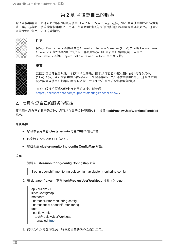## 第 2 章 监控您自己的服务

<span id="page-31-0"></span>除了监控集群外,您还可以为自己的服务使用 OpenShift Monitoring。这样,您不需要使用额外的监控解 决方案。这有助于使监控保持集中化。另外,您可以将对服务指标的访问扩展到集群管理员之外。这可让 开发者和任意用户访问这些指标。



## 注意

自定义 Prometheus 实例和通过 Operator Lifecycle Manager (OLM) 安装的 Prometheus Operator 可能会导致用户定义的工作负载监控(如果启用)出现问题。自定义 Prometheus 实例在 OpenShift Container Platform 中不受支持。



## 重要

监控您自己的服务只是一个技术预览功能。技术预览功能不被红帽产品服务等级协议 (SLA) 支持,且可能在功能方面有缺陷。红帽不推荐在生产环境中使用它们。这些技术预 览功能可以使用户提早试用新的功能,并有机会在开发阶段提供反馈意见。

有关红帽技术预览功能支持范围的详情,请参阅 <https://access.redhat.com/support/offerings/techpreview/>。

## <span id="page-31-1"></span>2.1. 启用对您自己的服务的监控

要启用对您自己的服务的监控,您可以在集群监控配置映射中设置 **techPreviewUserWorkload/enabled** 标志。

## 先决条件

- 您可以使用具有 **cluster-admin** 角色的用户访问集群。
- 已安装 OpenShift CLI(oc)。
- 您已创建 **cluster-monitoring-config ConfigMap** 对象。

## 流程

1. 编辑 **cluster-monitoring-config ConfigMap** 对象:

\$ oc -n openshift-monitoring edit configmap cluster-monitoring-config

2. 在 **data/config.yaml** 下将 **techPreviewUserWorkload** 设置设为 **true**:

```
apiVersion: v1
kind: ConfigMap
metadata:
 name: cluster-monitoring-config
 namespace: openshift-monitoring
data:
 config.yaml: |
  techPreviewUserWorkload:
   enabled: true
```
3. 保存文件以使改变生效。监控您自己的服务会自动启用。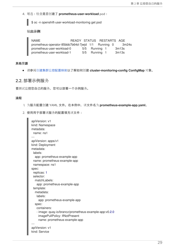4. 可选:检查是否创建了 **prometheus-user-workload** pod:

\$ oc -n openshift-user-workload-monitoring get pod

## 输出示例

| NAME                                               | READY STATUS RESTARTS AGE |               |  |       |
|----------------------------------------------------|---------------------------|---------------|--|-------|
| prometheus-operator-85bbb7b64d-7jwjd 1/1 Running 0 |                           |               |  | 3m24s |
| prometheus-user-workload-0                         |                           | 5/5 Running 1 |  | 3m13s |
| prometheus-user-workload-1                         |                           | 5/5 Running 1 |  | 3m13s |

## 其他资源

请参阅创建集群监[控配置映射以](https://access.redhat.com/documentation/en-us/openshift_container_platform/4.4/html-single/monitoring/#creating-cluster-monitoring-configmap_configuring-monitoring)了解如何创建 **cluster-monitoring-config ConfigMap** 对象。

## <span id="page-32-0"></span>2.2. 部署示例服务

要测试监控您自己的服务,您可以部署一个示例服务。

#### 流程

- 1. 为服务配置创建 YAML 文件。在本例中, 该文件名为 prometheus-example-app.yaml。
- 2. 使用用于部署该服务的配置填充该文件:

```
apiVersion: v1
kind: Namespace
metadata:
 name: ns1
---
apiVersion: apps/v1
kind: Deployment
metadata:
 labels:
  app: prometheus-example-app
 name: prometheus-example-app
 namespace: ns1
spec:
 replicas: 1
 selector:
  matchLabels:
   app: prometheus-example-app
 template:
  metadata:
   labels:
    app: prometheus-example-app
  spec:
   containers:
   - image: quay.io/brancz/prometheus-example-app:v0.2.0
    imagePullPolicy: IfNotPresent
    name: prometheus-example-app
---
apiVersion: v1
kind: Service
```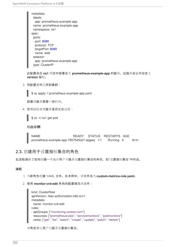metadata: labels: app: prometheus-example-app name: prometheus-example-app namespace: ns1 spec: ports: - port: 8080 protocol: TCP targetPort: 8080 name: web selector: app: prometheus-example-app type: ClusterIP

此配置会在 **ns1** 项目中部署名为 **prometheus-example-app** 的服务。此服务会公开自定义 **version** 指标。

3. 将配置文件应用到集群:

\$ oc apply -f prometheus-example-app.yaml

部署该服务需要一些时间。

4. 您可以检查该服务是否正在运行:



输出示例

NAME READY STATUS RESTARTS AGE prometheus-example-app-7857545cb7-sbgwq 1/1 Running 0 81m

## <span id="page-33-0"></span>2.3. 创建用于设置指标集合的角色

此流程演示了如何创建一个允许用户为服务设置指标集合的角色,如"设置指标集合"中所述。

## 流程

- 1. 为新角色创建 YAML 文件。在本例中, 该文件名为 custom-metrics-role.yaml。
- 2. 使用 **monitor-crd-edit** 角色的配置填充该文件:

kind: ClusterRole apiVersion: rbac.authorization.k8s.io/v1 metadata: name: monitor-crd-edit rules: - apiGroups: ["monitoring.coreos.com"] resources: ["prometheusrules", "servicemonitors", "podmonitors"] verbs: ["get", "list", "watch", "create", "update", "patch", "delete"]

该角色可让用户为服务设置指标集合。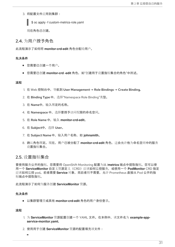3. 将配置文件应用到集群:

\$ oc apply -f custom-metrics-role.yaml

现在角色已创建。

## <span id="page-34-0"></span>2.4. 为用户授予角色

此流程演示了如何将 **monitor-crd-edit** 角色分配给用户。

#### 先决条件

- 您需要已创建一个用户。
- **●** 您需要已创建 monitor-crd -edit 角色, 如"创建用于设置指标集合的角色"中所述。

#### 流程

- 1. 在 Web 控制台中,导航到 User Management → Role Bindings → Create Binding。
- 2. 在 Binding Type 中, 选择"Namespace Role Binding"类型。
- 3. 在 Name中,输入绑定的名称。
- 4. 在 Namespace 中, 选择要授予访问权限的命名空间。
- 5. 在 Role Name中,输入 **monitor-crd-edit**。
- 6. 在 Subject中,选择 User。
- 7. 在 Subject Name中,输入用户名称,如 **johnsmith**。
- 8. 确认角色绑定。现在,用户已被分配了 monitor-crd-edit 角色, 这会允许他为命名空间中的服务 设置指标集合。

## <span id="page-34-1"></span>2.5. 设置指标集合

要使用服务公开的指标,您需要将 OpenShift Monitoring 配置为从 **/metrics** 端点中提取指标。您可以使 用一个 **ServiceMonitor** 自定义资源定义(CRD)应该如何监控服务,或使用一个 **PodMonitor** CRD 指定 应该如何监控 pod。前者需要 **Service** 对象,而后者则不需要,允许 Prometheus 直接从 Pod 公开的指 标端点中提取指标。

此流程演示了如何为服务创建 **ServiceMonitor** 资源。

#### 先决条件

以集群管理员或具有 **monitor-crd-edit** 角色的用户身份登录。

## 流程

- 1. 为 ServiceMonitor 资源配置创建一个 YAML 文件。在本例中, 该文件名为 example-app**service-monitor.yaml**。
- 2. 使用用于创建 **ServiceMonitor** 资源的配置填充该文件:

٠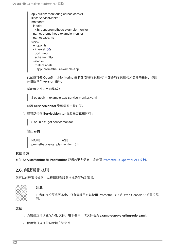| apiVersion: monitoring.coreos.com/v1 |
|--------------------------------------|
| kind: ServiceMonitor                 |
| metadata:                            |
| labels:                              |
| k8s-app: prometheus-example-monitor  |
| name: prometheus-example-monitor     |
| namespace: ns1                       |
| spec:                                |
| endpoints:                           |
| - interval: 30s                      |
| port: web                            |
| scheme: http                         |
| selector:                            |
| matchLabels:                         |
| app: prometheus-example-app          |

此配置可使 OpenShift Monitoring 提取在"部署示例服务"中部署的示例服务所公开的指标,该服 务包括单个 **version** 指标。

3. 将配置文件应用到集群:

\$ oc apply -f example-app-service-monitor.yaml

部署 **ServiceMonitor** 资源需要一些时间。

4. 您可以检查 **ServiceMonitor** 资源是否正在运行:



输出示例

NAME AGE prometheus-example-monitor 81m

## 其他资源

有关 **ServiceMonitor** 和 **PodMonitor** 资源的更多信息,请参阅 [Prometheus](https://github.com/openshift/prometheus-operator/blob/release-4.4/Documentation/api.md) Operator API 文档。

## <span id="page-35-0"></span>2.6. 创建警报规则

您可以创建警报规则,以根据所选服务指标的值触发警报。



## 注意

在当前技术预览版本中,只有管理员可以使用 Prometheus UI 和 Web Console 访问警报规 则。

## 流程

1. 为警报规则创建 YAML 文件。在本例中, 该文件名为 example-app-alerting-rule.yaml。

2. 使用警报规则的配置填充该文件: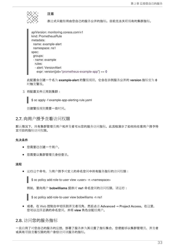

## 注意

表达式只能引用由您自己的服务公开的指标。目前无法关联现有的集群指标。

apiVersion: monitoring.coreos.com/v1 kind: PrometheusRule metadata: name: example-alert namespace: ns1 spec: groups: - name: example rules: - alert: VersionAlert expr: version{job="prometheus-example-app"} == 0

此配置会创建一个名为 **example-alert** 的警报规则,它会在示例服务公开的 **version** 指标变为 **0** 时触发警报。

3. 将配置文件应用到集群:

\$ oc apply -f example-app-alerting-rule.yaml

创建警报规则需要一些时间。

## <span id="page-36-0"></span>2.7. 向用户授予查看访问权限

默认情况下,只有集群管理员用户和开发者可从您的服务访问指标。此流程演示了如何向任意用户授予特 定项目的指标访问权限。

## 先决条件

- 您需要已创建一个用户。
- 您需要以集群管理员身份登录。

#### 流程

运行这个命令,为用户授予对定义的命名空间中所有服务指标的访问权限:

\$ oc policy add-role-to-user view <user> -n <namespace>

例如,要向用户 **bobwilliams** 提供对 **ns1** 命名空间的访问权限,请运行:

\$ oc policy add-role-to-user view bobwilliams -n ns1

或者,在 Web 控制台中切换到开发者视角,然后点击 Advanced → Project Access。在这里, 您可以选择正确的命名空间,并将 **view** 角色分配给用户。

## <span id="page-36-1"></span>2.8. 访问您的服务指标

一旦启用了对您自己的服务的监控,部署了服务并为其设置了指标集合,您便能够以集群管理员、开发者 或具有项目查看权限的用户身份访问该服务的指标。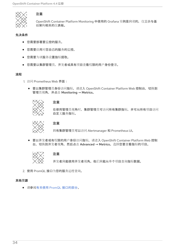

## 注意

OpenShift Container Platform Monitoring 中使用的 Grafana 实例是只读的, 仅显示与基 础架构相关的仪表板。

## 先决条件

- 您需要部署要监控的服务。
- 您需要启用对您自己的服务的监控。
- 您需要为该服务设置指标提取。  $\bullet$
- 您需要以集群管理员、开发者或具有项目查看权限的用户身份登录。  $\bullet$

## 流程

- 1. 访问 Prometheus Web 界面:
	- 要以集群管理员身份访问指标,请进入 OpenShift Container Platform Web 控制台, 切换到 管理员视角,并点击 Monitoring → Metrics。

## 注意

在使用管理员视角时,集群管理员可访问所有集群指标,并可从所有项目访问 自定义服务指标。



## 注意

只有集群管理员可以访问 Alertmanager 和 Prometheus UI。

要以开发者或有权限的用户身份访问指标,请进入 OpenShift Container Platform Web 控制  $\bullet$ 台,切换到开发者视角,然后点击 Advanced → Metrics。选择您要查看指标的项目。



#### 注意

开发者只能使用开发者视角。他们只能从单个项目查询指标数据。

2. 使用 PromQL 接口为您的服务运行查询。

## 其他资源

请参阅有关使用 PromQL [接口的部分](https://access.redhat.com/documentation/en-us/openshift_container_platform/4.4/html-single/monitoring/#examining-cluster-metrics)。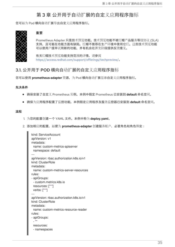## 第3章 公开用于自动扩展的自定义应用程序指标

<span id="page-38-0"></span>您可以为 Pod 横向自动扩展导出自定义应用程序指标。



#### 重要

Prometheus Adapter 只是技术预览功能。技术预览功能不被红帽产品服务等级协议 (SLA) 支持,且可能在功能方面有缺陷。红帽不推荐在生产环境中使用它们。这些技术预览功能 可以使用户提早试用新的功能,并有机会在开发阶段提供反馈意见。

有关红帽技术预览功能支持范围的详情,请参阅 <https://access.redhat.com/support/offerings/techpreview/>。

## <span id="page-38-1"></span>3.1. 公开用于 POD 横向自动扩展的自定义应用程序指标

您可以使用 **prometheus-adapter** 资源,为 Pod 横向自动扩展显示自定义应用程序指标。

#### 先决条件

- 确保安装了自定义 Prometheus 实例。本例中假定 Prometheus 已安装到 **default** 命名空间。
- 确保为应用程序配置了监控功能。本例假定应用程序及服务监控器已安装到 **default** 命名空间。

#### 流程

- 1. 为您的配置创建一个 YAML 文件。本例中称为 **deploy.yaml**。
- 2. 添加相应的配置,以便为 **prometheus-adapter** 创建服务帐户、必要角色和角色绑定:

```
kind: ServiceAccount
apiVersion: v1
metadata:
 name: custom-metrics-apiserver
 namespace: default
---
apiVersion: rbac.authorization.k8s.io/v1
kind: ClusterRole
metadata:
 name: custom-metrics-server-resources
rules:
- apiGroups:
 - custom.metrics.k8s.io
 resources: ["*"]
 verbs: ["*"]
---
apiVersion: rbac.authorization.k8s.io/v1
kind: ClusterRole
metadata:
 name: custom-metrics-resource-reader
rules:
- apiGroups:
 - ""
 resources:
 - namespaces
```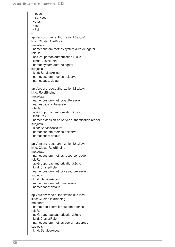- pods - services verbs: - get - list -- apiVersion: rbac.authorization.k8s.io/v1 kind: ClusterRoleBinding metadata: name: custom-metrics:system:auth-delegator roleRef: apiGroup: rbac.authorization.k8s.io kind: ClusterRole name: system:auth-delegator subjects: - kind: ServiceAccount name: custom-metrics-apiserver namespace: default -- apiVersion: rbac.authorization.k8s.io/v1 kind: RoleBinding metadata: name: custom-metrics-auth-reader namespace: kube-system roleRef: apiGroup: rbac.authorization.k8s.io kind: Role name: extension-apiserver-authentication-reader subjects: - kind: ServiceAccount name: custom-metrics-apiserver namespace: default -- apiVersion: rbac.authorization.k8s.io/v1 kind: ClusterRoleBinding metadata: name: custom-metrics-resource-reader roleRef: apiGroup: rbac.authorization.k8s.io kind: ClusterRole name: custom-metrics-resource-reader subjects: - kind: ServiceAccount name: custom-metrics-apiserver namespace: default -- apiVersion: rbac.authorization.k8s.io/v1 kind: ClusterRoleBinding metadata: name: hpa-controller-custom-metrics roleRef: apiGroup: rbac.authorization.k8s.io kind: ClusterRole name: custom-metrics-server-resources subjects: - kind: ServiceAccount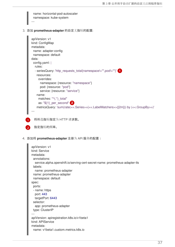<span id="page-40-0"></span>

<span id="page-40-1"></span>4. 添加将 **prometheus-adapter** 注册为 API 服务的配置:

```
apiVersion: v1
kind: Service
metadata:
 annotations:
  service.alpha.openshift.io/serving-cert-secret-name: prometheus-adapter-tls
 labels:
  name: prometheus-adapter
 name: prometheus-adapter
 namespace: default
spec:
 ports:
 - name: https
  port: 443
  targetPort: 6443
 selector:
  app: prometheus-adapter
 type: ClusterIP
---
apiVersion: apiregistration.k8s.io/v1beta1
kind: APIService
metadata:
 name: v1beta1.custom.metrics.k8s.io
```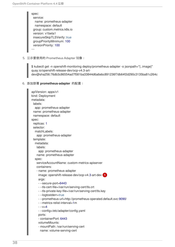spec: service: name: prometheus-adapter namespace: default group: custom.metrics.k8s.io version: v1beta1 insecureSkipTLSVerify: true groupPriorityMinimum: 100 versionPriority: 100 ---

5. 显示要使用的 Prometheus Adapter 镜像:

\$ kubectl get -n openshift-monitoring deploy/prometheus-adapter -o jsonpath="{..image}" quay.io/openshift-release-dev/ocp-v4.3-artdev@sha256:76db3c86554ad7f581ba33844d6a6ebc891236f7db64f2d290c3135ba81c264c

6. 添加部署 **prometheus-adapter** 的配置:

```
apiVersion: apps/v1
kind: Deployment
metadata:
 labels:
  app: prometheus-adapter
 name: prometheus-adapter
 namespace: default
spec:
 replicas: 1
 selector:
  matchLabels:
   app: prometheus-adapter
 template:
  metadata:
   labels:
     app: prometheus-adapter
   name: prometheus-adapter
  spec:
   serviceAccountName: custom-metrics-apiserver
   containers:
   - name: prometheus-adapter
    image: openshift-release-dev/ocp-v4.3-art-dev 1
     args:
     - --secure-port=6443
     - --tls-cert-file=/var/run/serving-cert/tls.crt
     - --tls-private-key-file=/var/run/serving-cert/tls.key
     - --logtostderr=true
     - --prometheus-url=http://prometheus-operated.default.svc:9090/
    - --metrics-relist-interval=1m
     - -v = 4- --config=/etc/adapter/config.yaml
     ports:
     - containerPort: 6443
     volumeMounts:
     - mountPath: /var/run/serving-cert
      name: volume-serving-cert
```